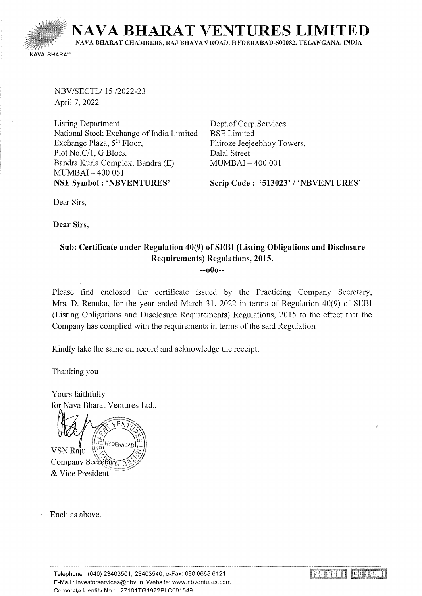

NBV/SECTL/ 15/2022-23 April 7, 2022

Listing Department National Stock Exchange of India Limited Exchange Plaza, 5<sup>th</sup> Floor, Plot No.C/1, G Block Bandra Kurla Complex, Bandra (E) MUMBAI- 400 051 NSE Symbol : 'NBVENTURES'

Dept. of Corp.Services BSE Limited Phiroze Jeejeebhoy Towers, Dalal Street MUMBAI - 400 001

Scrip Code: '513023' / 'NBVENTURES'

Dear Sirs,

Dear Sirs,

## Sub: Certificate under Regulation 40(9) of SEBI (Listing Obligations and Disclosure Requirements) Regulations, 2015. --oOo--

Please find enclosed the certificate issued by the Practicing Company Secretary, Mrs. D. Renuka, for the year ended March 31, 2022 in terms of Regulation 40(9) of SEBI (Listing Obligations and Disclosure Requirements) Regulations, 2015 to the effect that the Company has complied with the requirements in terms of the said Regulation

Kindly take the same on record and acknowledge the receipt.

Thanking you

Yours faithfully for Nava Bharat Ventures Ltd.,

HYDERABAL VSN Raju Company Secretary 6 & Vice President

Encl: as above.